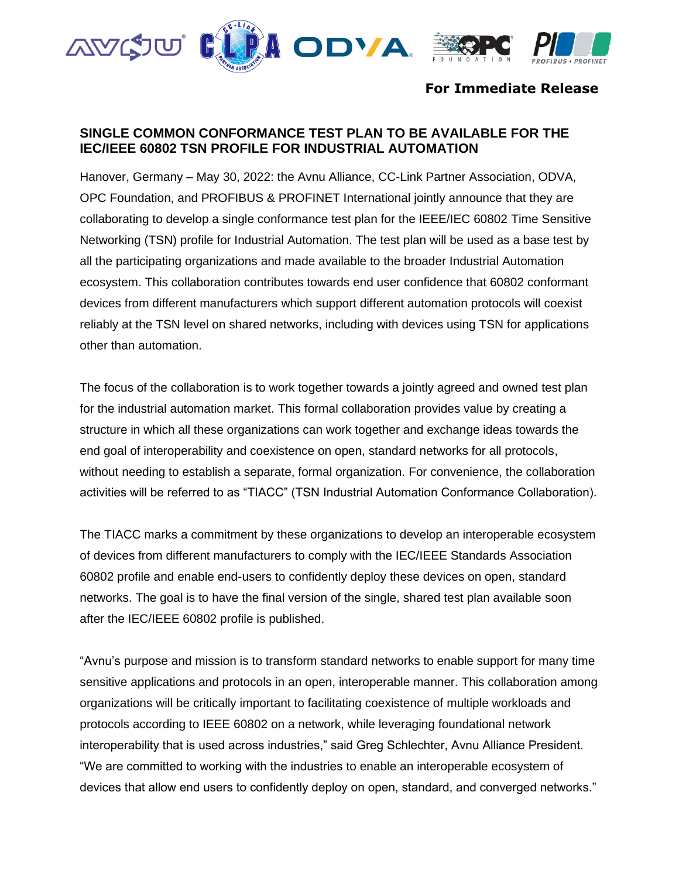

# **For Immediate Release**

# **SINGLE COMMON CONFORMANCE TEST PLAN TO BE AVAILABLE FOR THE IEC/IEEE 60802 TSN PROFILE FOR INDUSTRIAL AUTOMATION**

Hanover, Germany – May 30, 2022: the Avnu Alliance, CC-Link Partner Association, ODVA, OPC Foundation, and PROFIBUS & PROFINET International jointly announce that they are collaborating to develop a single conformance test plan for the IEEE/IEC 60802 Time Sensitive Networking (TSN) profile for Industrial Automation. The test plan will be used as a base test by all the participating organizations and made available to the broader Industrial Automation ecosystem. This collaboration contributes towards end user confidence that 60802 conformant devices from different manufacturers which support different automation protocols will coexist reliably at the TSN level on shared networks, including with devices using TSN for applications other than automation.

The focus of the collaboration is to work together towards a jointly agreed and owned test plan for the industrial automation market. This formal collaboration provides value by creating a structure in which all these organizations can work together and exchange ideas towards the end goal of interoperability and coexistence on open, standard networks for all protocols, without needing to establish a separate, formal organization. For convenience, the collaboration activities will be referred to as "TIACC" (TSN Industrial Automation Conformance Collaboration).

The TIACC marks a commitment by these organizations to develop an interoperable ecosystem of devices from different manufacturers to comply with the IEC/IEEE Standards Association 60802 profile and enable end-users to confidently deploy these devices on open, standard networks. The goal is to have the final version of the single, shared test plan available soon after the IEC/IEEE 60802 profile is published.

"Avnu's purpose and mission is to transform standard networks to enable support for many time sensitive applications and protocols in an open, interoperable manner. This collaboration among organizations will be critically important to facilitating coexistence of multiple workloads and protocols according to IEEE 60802 on a network, while leveraging foundational network interoperability that is used across industries," said Greg Schlechter, Avnu Alliance President. "We are committed to working with the industries to enable an interoperable ecosystem of devices that allow end users to confidently deploy on open, standard, and converged networks."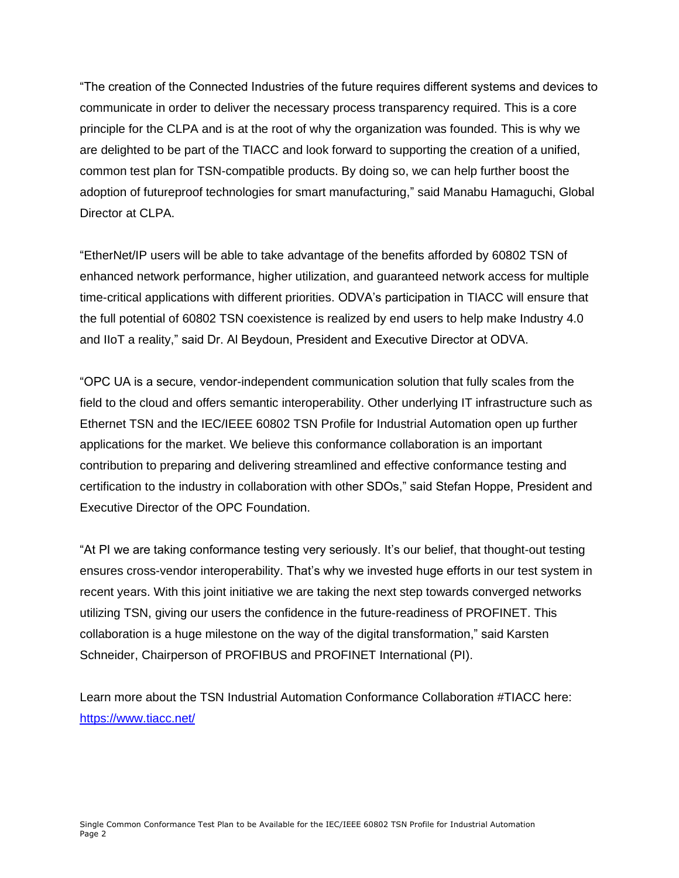"The creation of the Connected Industries of the future requires different systems and devices to communicate in order to deliver the necessary process transparency required. This is a core principle for the CLPA and is at the root of why the organization was founded. This is why we are delighted to be part of the TIACC and look forward to supporting the creation of a unified, common test plan for TSN-compatible products. By doing so, we can help further boost the adoption of futureproof technologies for smart manufacturing," said Manabu Hamaguchi, Global Director at CLPA.

"EtherNet/IP users will be able to take advantage of the benefits afforded by 60802 TSN of enhanced network performance, higher utilization, and guaranteed network access for multiple time-critical applications with different priorities. ODVA's participation in TIACC will ensure that the full potential of 60802 TSN coexistence is realized by end users to help make Industry 4.0 and IIoT a reality," said Dr. Al Beydoun, President and Executive Director at ODVA.

"OPC UA is a secure, vendor-independent communication solution that fully scales from the field to the cloud and offers semantic interoperability. Other underlying IT infrastructure such as Ethernet TSN and the IEC/IEEE 60802 TSN Profile for Industrial Automation open up further applications for the market. We believe this conformance collaboration is an important contribution to preparing and delivering streamlined and effective conformance testing and certification to the industry in collaboration with other SDOs," said Stefan Hoppe, President and Executive Director of the OPC Foundation.

"At PI we are taking conformance testing very seriously. It's our belief, that thought-out testing ensures cross-vendor interoperability. That's why we invested huge efforts in our test system in recent years. With this joint initiative we are taking the next step towards converged networks utilizing TSN, giving our users the confidence in the future-readiness of PROFINET. This collaboration is a huge milestone on the way of the digital transformation," said Karsten Schneider, Chairperson of PROFIBUS and PROFINET International (PI).

Learn more about the TSN Industrial Automation Conformance Collaboration #TIACC here: <https://www.tiacc.net/>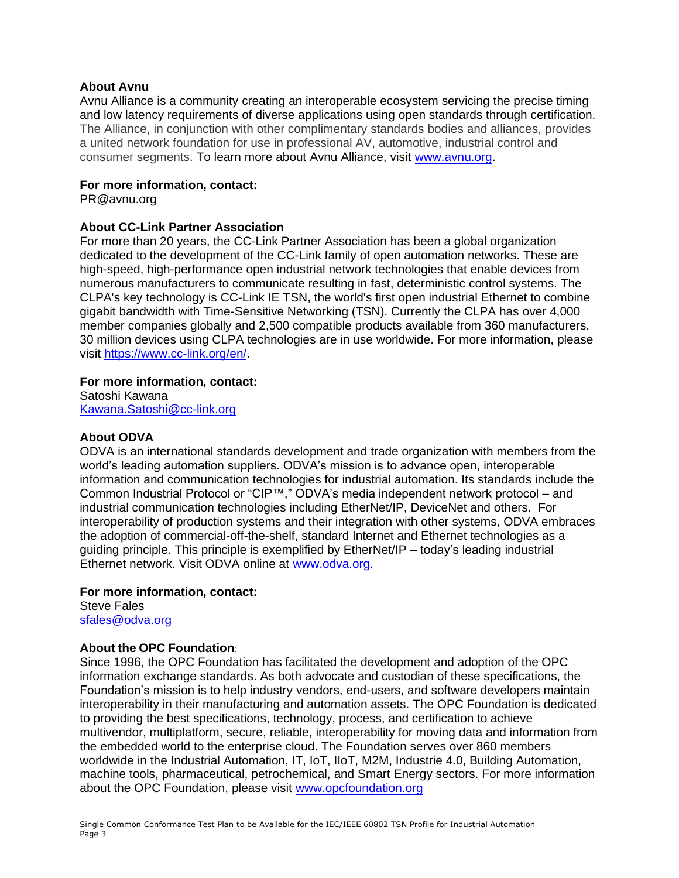### **About Avnu**

Avnu Alliance is a community creating an interoperable ecosystem servicing the precise timing and low latency requirements of diverse applications using open standards through certification. The Alliance, in conjunction with other complimentary standards bodies and alliances, provides a united network foundation for use in professional AV, automotive, industrial control and consumer segments. To learn more about Avnu Alliance, visit [www.avnu.org.](http://www.avnu.org/)

#### **For more information, contact:**

PR@avnu.org

### **About CC-Link Partner Association**

For more than 20 years, the CC-Link Partner Association has been a global organization dedicated to the development of the CC-Link family of open automation networks. These are high-speed, high-performance open industrial network technologies that enable devices from numerous manufacturers to communicate resulting in fast, deterministic control systems. The CLPA's key technology is CC-Link IE TSN, the world's first open industrial Ethernet to combine gigabit bandwidth with Time-Sensitive Networking (TSN). Currently the CLPA has over 4,000 member companies globally and 2,500 compatible products available from 360 manufacturers. 30 million devices using CLPA technologies are in use worldwide. For more information, please visit [https://www.cc-link.org/en/.](https://www.cc-link.org/en/)

### **For more information, contact:**

Satoshi Kawana [Kawana.Satoshi@cc-link.org](mailto:Kawana.Satoshi@cc-link.org)

### **About ODVA**

ODVA is an international standards development and trade organization with members from the world's leading automation suppliers. ODVA's mission is to advance open, interoperable information and communication technologies for industrial automation. Its standards include the Common Industrial Protocol or "CIP™," ODVA's media independent network protocol – and industrial communication technologies including EtherNet/IP, DeviceNet and others. For interoperability of production systems and their integration with other systems, ODVA embraces the adoption of commercial-off-the-shelf, standard Internet and Ethernet technologies as a guiding principle. This principle is exemplified by EtherNet/IP – today's leading industrial Ethernet network. Visit ODVA online at [www.odva.org.](http://www.odva.org/)

#### **For more information, contact:**

Steve Fales [sfales@odva.org](mailto:sfales@odva.org)

## **About the OPC Foundation**:

Since 1996, the OPC Foundation has facilitated the development and adoption of the OPC information exchange standards. As both advocate and custodian of these specifications, the Foundation's mission is to help industry vendors, end-users, and software developers maintain interoperability in their manufacturing and automation assets. The OPC Foundation is dedicated to providing the best specifications, technology, process, and certification to achieve multivendor, multiplatform, secure, reliable, interoperability for moving data and information from the embedded world to the enterprise cloud. The Foundation serves over 860 members worldwide in the Industrial Automation, IT, IoT, IIoT, M2M, Industrie 4.0, Building Automation, machine tools, pharmaceutical, petrochemical, and Smart Energy sectors. For more information about the OPC Foundation, please visit [www.opcfoundation.org](http://www.opcfoundation.org/)